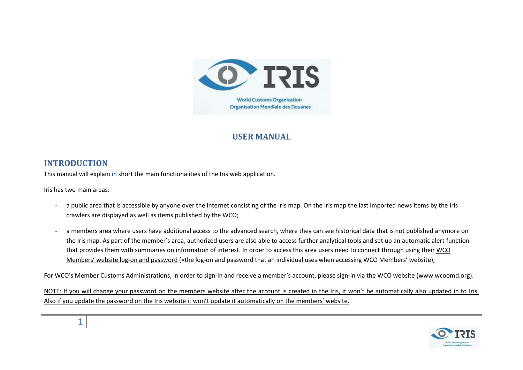

## **USER MANUAL**

### **INTRODUCTION**

This manual will explain in short the main functionalities of the Iris web application.

Iris has two main areas:

- a public area that is accessible by anyone over the internet consisting of the Iris map. On the Iris map the last imported news items by the Iris crawlers are displayed as well as items published by the WCO;
- a members area where users have additional access to the advanced search, where they can see historical data that is not published anymore on the Iris map. As part of the member's area, authorized users are also able to access further analytical tools and set up an automatic alert function that provides them with summaries on information of interest. In order to access this area users need to connect through using their WCO Members' website log-on and password (=the log-on and password that an individual uses when accessing WCO Members' website);

For WCO's Member Customs Administrations, in order to sign-in and receive a member's account, please sign-in via the WCO website [\(www.wcoomd.org\)](http://www.wcoomd.org/).

NOTE: If you will change your password on the members website after the account is created in the Iris, it won't be automatically also updated in to Iris. Also if you update the password on the Iris website it won't update it automatically on the members' website.

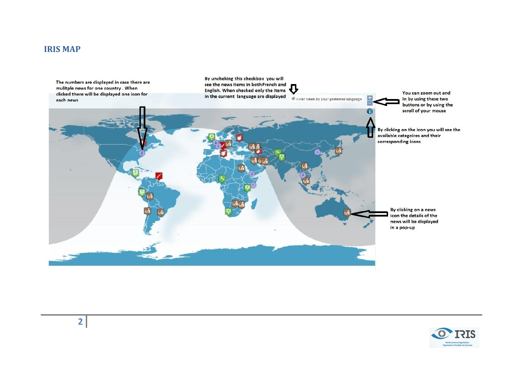#### **IRIS MAP**



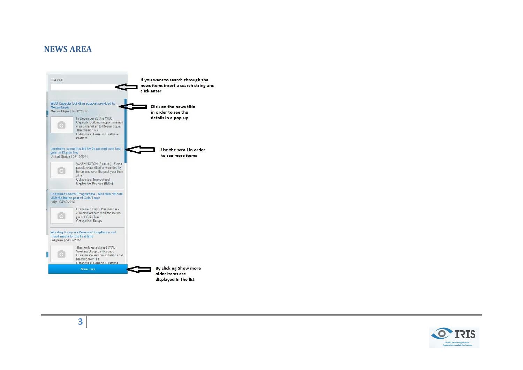#### **NEWS AREA**





**3**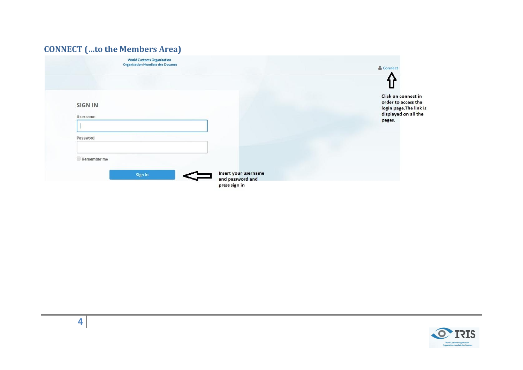# **CONNECT (…to the Members Area)**

| <b>World Customs Organization</b><br><b>Organisation Mondiale des Douanes</b> | & Connect                                                                                     |
|-------------------------------------------------------------------------------|-----------------------------------------------------------------------------------------------|
|                                                                               |                                                                                               |
| <b>SIGN IN</b><br>Username                                                    | Click on connect in<br>order to access the<br>login page. The link is<br>displayed on all the |
| Password                                                                      | pages.                                                                                        |
| $\Box$ Remember me                                                            |                                                                                               |
| Insert your username<br>Sign in<br>and password and                           |                                                                                               |
| press sign in                                                                 |                                                                                               |

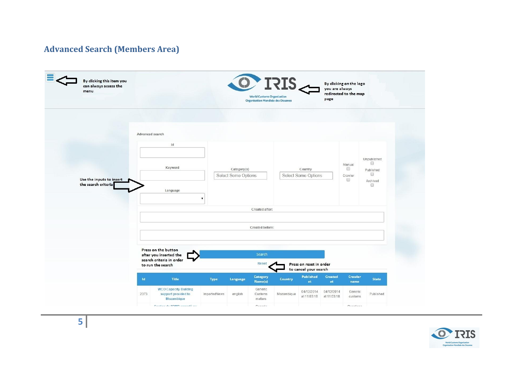## **Advanced Search (Members Area)**





**5**